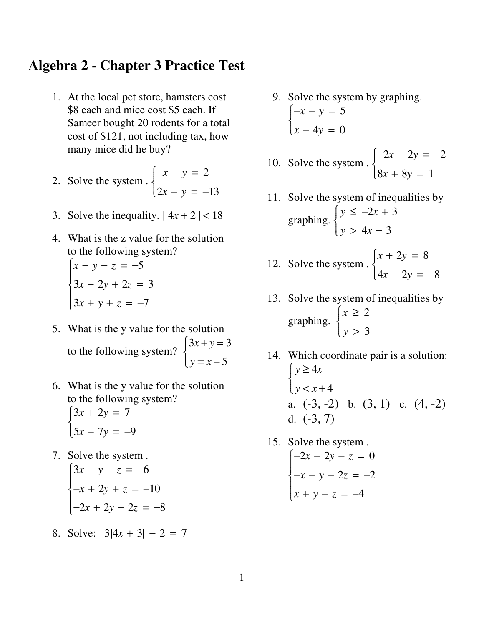## **Algebra 2 - Chapter 3 Practice Test**

 1. At the local pet store, hamsters cost \$8 each and mice cost \$5 each. If Sameer bought 20 rodents for a total cost of \$121, not including tax, how many mice did he buy?

2. Solve the system. 
$$
\begin{cases}\n-x - y = 2 \\
2x - y = -13\n\end{cases}
$$

- 3. Solve the inequality.  $| 4x + 2 | < 18$
- 4. What is the z value for the solution to the following system?  $x - y - z = -5$ 3*x* − 2*y* + 2*z* = 3  $3x + y + z = -7$ ا<br>ا Ì  $\begin{bmatrix} 0 & 0 & 0 \\ 0 & 0 & 0 \\ 0 & 0 & 0 \\ 0 & 0 & 0 \\ 0 & 0 & 0 \\ 0 & 0 & 0 \\ 0 & 0 & 0 \\ 0 & 0 & 0 \\ 0 & 0 & 0 \\ 0 & 0 & 0 & 0 \\ 0 & 0 & 0 & 0 \\ 0 & 0 & 0 & 0 \\ 0 & 0 & 0 & 0 \\ 0 & 0 & 0 & 0 \\ 0 & 0 & 0 & 0 \\ 0 & 0 & 0 & 0 & 0 \\ 0 & 0 & 0 & 0 & 0 \\ 0 & 0 & 0 & 0 & 0 \\ 0 & 0 & 0 & 0 & 0 \\$  $\Bigg\}$
- 5. What is the y value for the solution to the following system?  $3x + y = 3$ *y* = *x* − 5 .<br>آ Ì Ó  $\overline{\mathcal{L}}$  $\bigg\}$
- 6. What is the y value for the solution to the following system?  $\int 3x + 2y = 7$

$$
\begin{cases}\n5x - 7y = -9\n\end{cases}
$$

Ó

 7. Solve the system .  $3x - y - z = -6$  $-x + 2y + z = -10$ ں<br>ا Ì  $\begin{bmatrix} \frac{1}{2} & \frac{1}{2} & \frac{1}{2} & \frac{1}{2} & \frac{1}{2} & \frac{1}{2} & \frac{1}{2} & \frac{1}{2} & \frac{1}{2} & \frac{1}{2} & \frac{1}{2} & \frac{1}{2} & \frac{1}{2} & \frac{1}{2} & \frac{1}{2} & \frac{1}{2} & \frac{1}{2} & \frac{1}{2} & \frac{1}{2} & \frac{1}{2} & \frac{1}{2} & \frac{1}{2} & \frac{1}{2} & \frac{1}{2} & \frac{1}{2} & \frac{1}{2} & \frac{1}{2$ 

$$
\begin{cases}\n-x + 2y + z = -10 \\
-2x + 2y + 2z = -8\n\end{cases}
$$

8. Solve:  $3|4x + 3| - 2 = 7$ 

- 9. Solve the system by graphing.  $-x - y = 5$  $x - 4y = 0$ ں<br>ا Ì Ó  $\tilde{\theta}$  $\big\{$
- 10. Solve the system .  $-2x - 2y = -2$  $8x + 8y = 1$ Ï Ì Ó  $\begin{bmatrix} \frac{1}{2} & \frac{1}{2} & \frac{1}{2} & \frac{1}{2} & \frac{1}{2} & \frac{1}{2} & \frac{1}{2} & \frac{1}{2} & \frac{1}{2} & \frac{1}{2} & \frac{1}{2} & \frac{1}{2} & \frac{1}{2} & \frac{1}{2} & \frac{1}{2} & \frac{1}{2} & \frac{1}{2} & \frac{1}{2} & \frac{1}{2} & \frac{1}{2} & \frac{1}{2} & \frac{1}{2} & \frac{1}{2} & \frac{1}{2} & \frac{1}{2} & \frac{1}{2} & \frac{1}{2$  $\bigg\}$
- 11. Solve the system of inequalities by graphing. *y* ≤ −2*x* + 3 *y* > 4*x* − 3 Ï Ì Ó ÔÔÔÔ  $\bigg\}$
- 12. Solve the system .  $x + 2y = 8$  $4x - 2y = -8$ Ï Ì Ó  $\begin{bmatrix} 1 & 0 & 0 \\ 0 & 0 & 0 \\ 0 & 0 & 0 \\ 0 & 0 & 0 \\ 0 & 0 & 0 \\ 0 & 0 & 0 \\ 0 & 0 & 0 \\ 0 & 0 & 0 \\ 0 & 0 & 0 \\ 0 & 0 & 0 & 0 \\ 0 & 0 & 0 & 0 \\ 0 & 0 & 0 & 0 \\ 0 & 0 & 0 & 0 \\ 0 & 0 & 0 & 0 & 0 \\ 0 & 0 & 0 & 0 & 0 \\ 0 & 0 & 0 & 0 & 0 \\ 0 & 0 & 0 & 0 & 0 \\ 0 & 0 & 0 & 0 & 0 \\ 0 & 0 & 0 &$  $\bigg\}$
- 13. Solve the system of inequalities by graphing.  $x \geq 2$ *y* > 3 y<br>r Ì Ó ÔÔÔÔ  $\bigg\}$
- 14. Which coordinate pair is a solution: *y* ≥ 4*x*  $y < x + 4$ Ï Ì Ó  $\overline{\mathcal{L}}$  $\big\{$ a.  $(-3, -2)$  b.  $(3, 1)$  c.  $(4, -2)$ d. (-3, 7)
- 15. Solve the system .  $-2x - 2y - z = 0$  $-x - y - 2z = -2$  $x + y - z = -4$ ں<br>ا Ì Ó  $\begin{bmatrix} \frac{1}{2} & \frac{1}{2} & \frac{1}{2} & \frac{1}{2} & \frac{1}{2} & \frac{1}{2} & \frac{1}{2} & \frac{1}{2} & \frac{1}{2} & \frac{1}{2} & \frac{1}{2} & \frac{1}{2} & \frac{1}{2} & \frac{1}{2} & \frac{1}{2} & \frac{1}{2} & \frac{1}{2} & \frac{1}{2} & \frac{1}{2} & \frac{1}{2} & \frac{1}{2} & \frac{1}{2} & \frac{1}{2} & \frac{1}{2} & \frac{1}{2} & \frac{1}{2} & \frac{1}{2$  $\Bigg\}$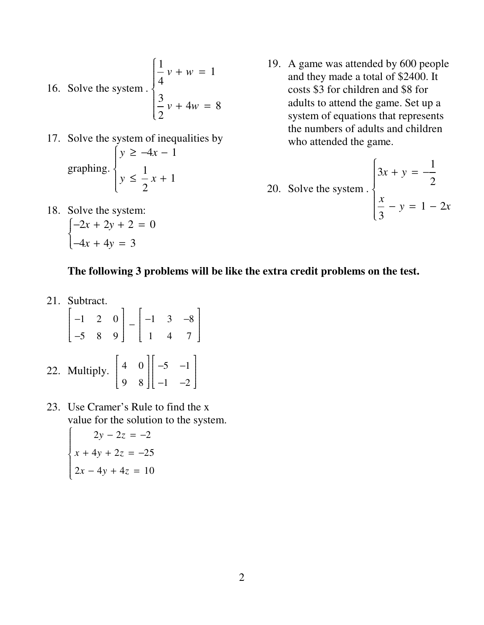16. Solve the system. 
$$
\begin{cases} \frac{1}{4}v + w = 1 \\ \frac{3}{2}v + 4w = 8 \end{cases}
$$

- 17. Solve the system of inequalities by graphing. *y* ≥  $-4x - 1$ *y* ≤ 1 2 *x* + 1 Ï Ì  $\overline{\mathcal{L}}$ ÔÔÔÔÔÔÔ  $\Bigg\}$
- 19. A game was attended by 600 people and they made a total of \$2400. It costs \$3 for children and \$8 for adults to attend the game. Set up a system of equations that represents the numbers of adults and children who attended the game.

20. Solve the system. 
$$
\begin{cases} 3x + y = -\frac{1}{2} \\ \frac{x}{3} - y = 1 - 2x \end{cases}
$$

18. Solve the system:<br> $\begin{cases} -2x + 2y + 2 = 0 \end{cases}$ 

$$
\begin{cases}\n-2x + 2y + 2 = 0 \\
-4x + 4y = 3\n\end{cases}
$$

## **The following 3 problems will be like the extra credit problems on the test.**

21. Subtract.

21. **Solution**  
\n
$$
\begin{bmatrix}\n-1 & 2 & 0 \\
-5 & 8 & 9\n\end{bmatrix} - \begin{bmatrix}\n-1 & 3 & -8 \\
1 & 4 & 7\n\end{bmatrix}
$$
\n22. Multiply. 
$$
\begin{bmatrix}\n4 & 0 \\
9 & 8\n\end{bmatrix} \begin{bmatrix}\n-5 & -1 \\
-1 & -2\n\end{bmatrix}
$$

 23. Use Cramer's Rule to find the x value for the solution to the system. Ï

$$
\begin{cases}\n2y - 2z = -2 \\
x + 4y + 2z = -25 \\
2x - 4y + 4z = 10\n\end{cases}
$$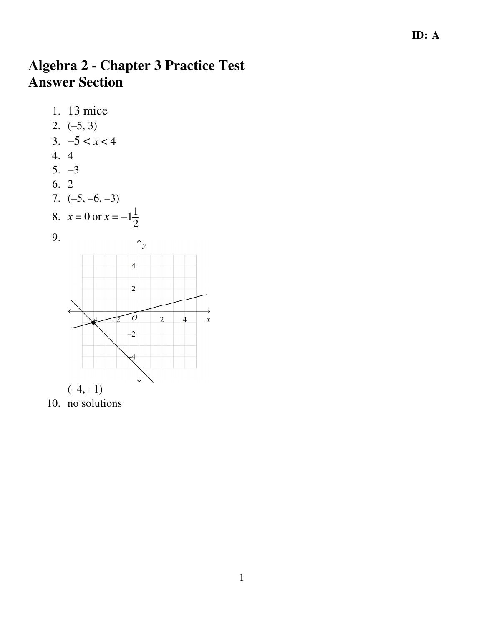## **Algebra 2 - Chapter 3 Practice Test Answer Section**



10. no solutions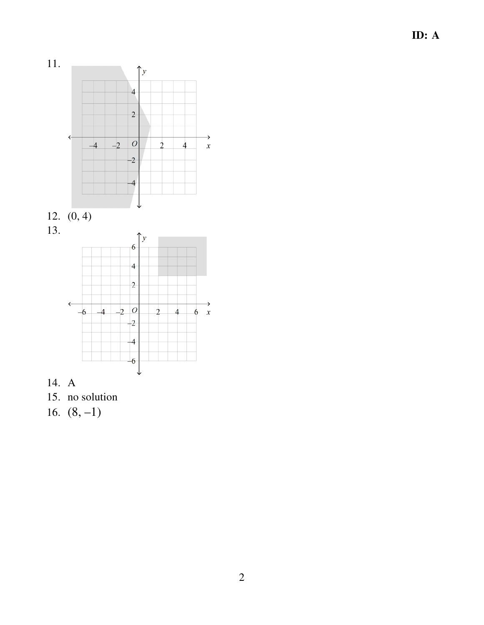ID:  $A$ 









- 15. no solution
- 16.  $(8, -1)$